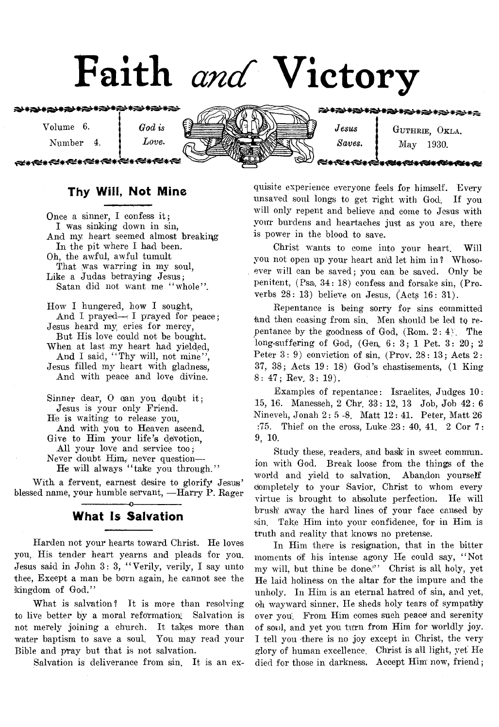# Faith and Victory

\*\*没\*为\*为\*为\*\*?\*\*?\*\*?

Volume 6.

Number 4.

<del>⋌</del>⋉⋇⋲⋞⋇⋲⋞⋇⋲⋞⋇⋲⋞⋇

*Love*.

*God is*



<del>∽∗⇔≤≈∗≪≈∗≪≠</del>

GUTHRIE, OKLA. May 1930.

€€€≇€€≜≉∢

# **Thy Will, Not Mine**

Once a sinner, I confess it; I was sinking down in sin, And my heart seemed almost breaking In the pit where I had been. Oh, the awful, awful tumult That was warring in my soul, Like a Judas betraying Jesus; Satan did not want me "whole". How I hungered, how I sought, And I prayed - I prayed for peace; Jesus heard my cries for mercy, But His love could not be bought.

When at last my heart had yielded, And I said, "Thy will, not mine", Jesus filled my heart with gladness, And with peace and love divine.

Sinner dear, O can you doubt it; Jesus is your only Friend. He is waiting to release you, And with you to Heaven ascend. Give to Him your life's devotion, All your love and service too; Never doubt Hjm, never question— He will always "take you through."

With a fervent, earnest desire to glorify Jesus' blessed name, your humble servant, — Harry P. Pager

# -----------------o----------------- **What Is Salvation**

Harden not your hearts toward Christ. He loves you, His tender heart yearns and pleads for you. Jesus said in John 3: 3, " Verily, verily, I say unto thee, Except a man be born again, he cannot see the kingdom of God."

What is salvation? It is more than resolving to live better by a moral reformation. Salvation is not merely joining a church. It takes more than water baptism to save a soul. You may read your Bible and pray but that is not salvation.

Salvation is deliverance from sin, It is an ex-

quisite experience everyone feels for himself. Every unsaved soul longs to get right with God. If you will only repent and believe and come to Jesus with your burdens and heartaches just as you are, there is power in the blood to save.

Christ wants to come into your heart. Will you not open up your heart and let him in? Whosoever will can be saved; you can be saved. Only be penitent, (Psa. 34: 18) confess and forsake sin, (Proverbs 28: 13) believe on Jesus, (Acts 16: 31).

Repentance is being sorry for sins committed and then ceasing from sin. Men should be led to repentance by the goodness of God,  $(Rom. 2: 4)$ . The long-suffering of God, (Gen, 6: 3; 1 Pet. 3: 20; 2 Peter 3: 9) conviction of sin, (Prov. 28: 13; Acts 2: 37, 38; Acts 19: 18) God's chastisements, (1 King 8: 47; Rev. 3: 19).

Examples of repentance: Israelites, Judges 10: 15, 16. Manesseh, 2 Chr. 33: 12, 13 Job, Job 42 : 6 Nineveh, Jonah 2: 5 -8. Matt 12: 41. Peter, Matt 26 :75. Thief on the cross, Luke 23: 40, 41. 2 Cor 7: 9, 10.

Study these, readers, and bask in sweet communion with God. Break loose from the things of the world and yield to salvation. Abandon yourself completely to your Savior, Christ to whom every virtue is brought to absolute perfection. He will brush away the hard lines of your face caused by sin. Take Him into your confidence, for in Him is truth and reality that knows no pretense.

In Him there is resignation, that in the bitter moments of his intense agony He could say, " Not my will, but thine be done."' Christ is all holy, yet He laid holiness on the altar for the impure and the unholy. In Him is an eternal hatred of sin, and yet, oh wayward sinner, He sheds holy tears of sympathy over you. From Him comes such peace and serenity of soul, and yet you turn from Him for worldly joy. I tell you there is no joy except in Christ, the very glory of human excellence. Christ is all light, yet He died for those in darkness. Accept Him now, friend;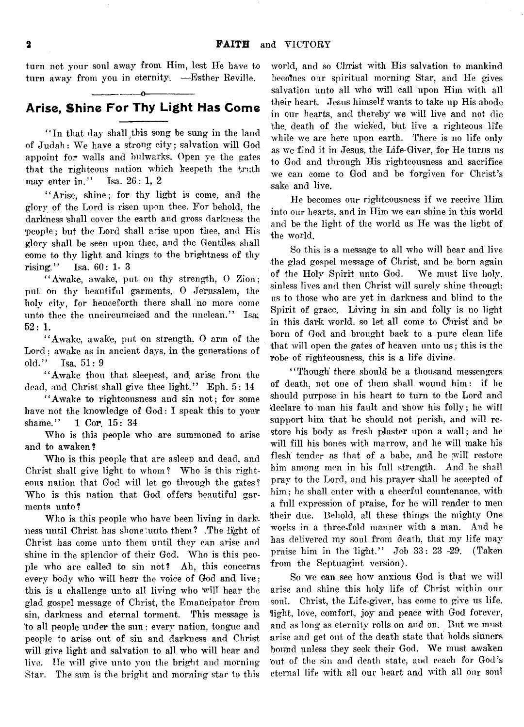turn not your soul away from Him, lest He have to turn away from you in eternity. —Esther Reville.

### ------------------------- o -----------— — **Arise, Shine For Thy Light Has Come**

"In that day shall this song be sung in the land of Judah: We have a strong city; salvation will God appoint for walls and bulwarks. Open ye the gates that the righteous nation which keepeth the truth may enter in." Isa.  $26: 1, 2$ 

" Arise, shine; for thy light is come, and the glory of the Lord is risen upon thee. For behold, the darkness shall cover the earth and gross darkness the people; but the Lord shall arise upon thee, and His glory shall be seen upon thee, and the Gentiles shall come to thy light and kings to the brightness of thy rising." Isa. 60: 1- 3

" Awake, awake, put on thy strength, 0 Zion; put on thy beautiful garments, 0 Jerusalem, the holy city, for henceforth there shall no more come unto thee the uncircumcised and the unclean." Isat 52: 1.

" Awake, awake, put on strength, 0 arm of the Lord; awake as in ancient days, in the generations of old." Isa, 51:9

" Awake thou that sleepest, and, arise from the dead, and Christ shall give thee light." Eph. 5: 14

" Awake to righteousness and sin not; for some have not the knowledge of God: I speak this to your shame." 1 Cor. 15: 34

Who is this people who are summoned to arise and to awaken?

Who is this people that are asleep and dead, and Christ shall give light to whom? Who is this righteous nation that God will let go through the gates? Who is this nation that God offers beautiful garments unto?

Who is this people who have been living in darkness until Christ has shone'unto- them? .The light of Christ has come unto them until they can arise and shine in the splendor of their God. Who is this people who are called to sin not? Ah, this concerns every body who will hear the voice of God and live; this is a challenge unto all living who Will hear the glad gospel message of Christ, the Emancipator from sin, darkness and eternal torment. This message is to all people under the sun: every nation, tongue and people to arise out of sin and darkness and Christ will give light and salvation to all who will hear and live. Tie will give unto you the bright and morning Star. The sun is the bright and morning star to this

world, and so Christ with His salvation to mankind becomes our spiritual morning Star, and He gives salvation unto all who will call upon Him with all their heart. Jesus himself wants to take up His abode in our hearts, and thereby we will live and not die the. death of the wicked, but live a righteous life while we are here upon earth. There is no life only as we find it in Jesus, the Life-Giver, for He turns us to God and through His righteousness and sacrifice we can come to God and be forgiven for Christ's sake and live.

He becomes our righteousness if we receive Him into our hearts, and in Him we can shine in this world and be the light of the world as He was the light of the world.

So this is a message to all who will hear and live the glad gospel message of Christ, and be born again of the Holy Spirit unto God. We must live holy, sinless lives and then Christ will surely shine through us to those who are yet in darkness and blind to the Spirit of grace. Living in sin and folly is no light in this dark world, so let all come to Christ and be born of God and brought back to a pure clean life that will open the gates of heaven unto us; this is the robe of righteousness, this is a life divine.

"Though' there should be a thousand messengers" of death, not one of them shall wound him: if he should purpose in his heart to turn to the Lord and declare to man his fault and show his folly; he will support him that he should not perish, and will restore his body as fresh plaster upon a wall; and he will fill his bones with marrow, and he will make his flesh: tender as that of a babe, and he will restore him among men in his full strength. And he shall pray to the Lord, and his prayer shall be accepted of him; he shall enter with a cheerful countenance, with a full expression of praise, for he will render to men their due. Behold, all these things the mighty One works in a threefold manner with a man. And he has delivered my soul from death, that my life may praise him in the light." Job  $33: 23$  -29. (Taken from the Septuagint version).

So we can see how anxious God is that we will arise and shine this holy life of Christ within our soul. Christ, the Life-giver, has come to give us life, light, love, comfort, joy and peace with God forever, and as long as eternity rolls on and on. But we must arise and get out of the death state that holds sinners bound unless they seek their God. We must awaken 'out of the sin and death state, and reach for God's eternal life with all our heart and with all our soul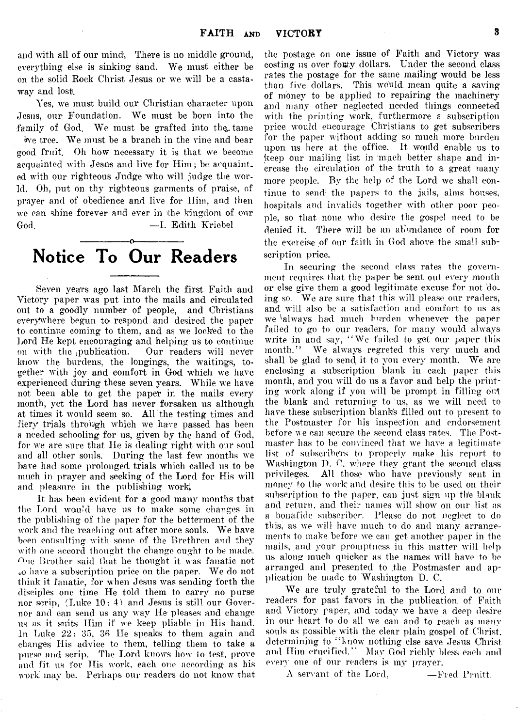and with all of our mind. There is no middle ground, everything else is sinking sand. We must either be on the solid Rock Christ Jesus or we will be a castaway and lost.

 $\mathcal{L}$ 

Yes, we must build our Christian character upon Jesus, our Foundation. We must be born into the family of God. We must be grafted into the tame five tree. We must be a branch in the vine and bear good fruit. Oh how necessary it is that we become acquainted with Jesus and live for Him; be acquainted with our righteous Judge who will judge the world. Oh, put on thy righteous garments of praise, of prayer and of obedience and live for Him, and then we can shine forever and ever in the kingdom of our God. — I. Edith Kriebel

# -----------------o----------------- Notice To Our Readers

Seven years ago last March the first Faith and Victory paper was put into the mails and circulated out to a goodly number of people, and Christians everywhere begun to- respond and desired the paper to continue coming to them, and as we looked to the Lord He kept encouraging and helping us to continue on with the publication. Our readers will never know the burdens, the longings, the waitings, together with joy and comfort in God which we have experienced during these seven years. While we have not been able to get the paper in the mails every month, yet the Lord has never forsaken us although at times it would seem so. All the testing times and fiery trials through which we have passed has been a needed schooling for us, given by the hand of God, for we are sure that He is dealing right with our soul and all other souls. During the last few months we have-had some prolonged trials which called us to be much in prayer and seeking of the Lord for His will and pleasure in the publishing work,.

It has been evident for a good many months that the Lord wound have us to make some changes in the publishing of the paper for the betterment of the work and the reaching out after more souls. We have been consulting with some of the Brethren and they with one accord thought the change ought to be made.  $n_e$  Brother said that he thought it was fanatic not oO have a subscription, price on the paper. We do not think it fanatic, for when Jesus was sending forth the disciples one time He told them to carry no purse nor scrip,  $(Luke 10: 4)$  and Jesus is still our Governor and can send us any way He pleases and change us as it suits Him if we keep pliable in His hand. In Luke 22: 35, 36 He speaks to them again and changes His advice to them, telling them to take a purse and scrip. The Lord knows how to test, prove and fit us for His work, each one according as his work may be. Perhaps our readers do not know that

the postage on one issue of Faith and Victory was costing us over forty dollars. Under the second class rates the postage for the same mailing would be less than five dollars. This would, mean quite a saving of money to be applied to repairing the machinery and many other neglected needed things connected with the printing work, furthermore a subscription price would encourage Christians to get subscribers for the paper without adding so much more burden upon us here at the office. It would enable us to keep our mailing list in much better shape and increase the circulation of the truth to a great many more people. By the help of the Lord we shall continue to send the papers to the jails, alms houses, hospitals and invalids together with other poor people, so that none who desire the gospel need to be denied it. There will be an abundance of room for the exercise of our faith in God above the small subscription price.

In securing the second class rates the government requires that the paper be sent out every month or else give them a good legitimate excuse for not doing so. We are sure that this will please our readers, and will also be a satisfaction and comfort to us as we ialways had much burden whenever the paper failed to go to our readers, for many would always write in and say, " We failed to get our paper this month." We always regreted this very much and shall be glad to send it to you every month. We are enclosing a subscription blank in each paper this month, and you will do us a favor and help the printing work along if you will be prompt in filling out the blank and returning to us, as we will need to have these subscription blank's filled out to present to the Postmaster for his inspection and endorsement before we can secure the second class rates. The Postmaster has to be convinced that we have a legitimate list of subscribers to properly make his report to Washington D. C. where they grant the second class privileges. All those who have previously sent in money to the work: and desire this to be used on their subscription to the paper, can just sign up the blank and return, and their names will show on our list as a bonafide subscriber. Please do not neglect to do this, as we will have much to do and many arrangements to make before we can get another paper in the mails, and your promptness in this matter will help us along much quicker as the names will have to be arranged and presented to ,the Postmaster and application be made to Washington D. C.

We are truly grateful to the Lord and to our readers for past favors in the publication, of Faith and Victory paper, and today we have a deep desire in our heart to do all we can and to reach as many souls as possible with the clear plain gospel of Christ, determining to "know nothing else save Jesus Christ and Him crucified." May God richly bless each and every one of our readers is my prayer.

A servant of the Lord, —Fred Pruitt.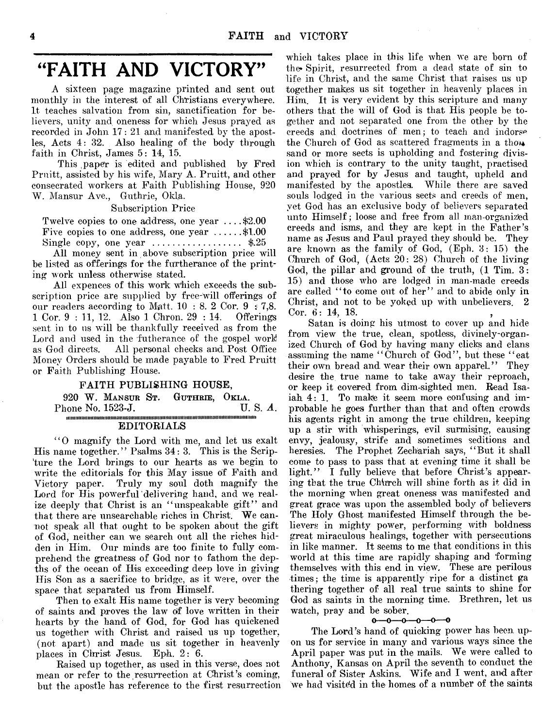# "FAITH AND VICTORY"

A sixteen page magazine printed and sent out monthly in the interest of all Christians everywhere. It teaches salvation from sin, sanctification for believers, unity and oneness for which Jesus prayed as recorded in John 17: 21 and manifested by the apostles, Acts 4: 32. Also healing of the body through faith in Christ, James 5: 14, 15.

This paper is edited and published by Fred. Pruitt, assisted by his wife, Mary A. Pruitt, and other consecrated workers at Faith Publishing House, 920 W. Mansur Ave., Guthrie, Okla.

Subscription Price

Twelve copies to one address, one year .... \$2.00

Five copies to one address, one year  $\dots$ ......\$1.00 Single copy, one year .................................. \$.25

All money sent in above subscription price will be listed as offerings for the furtherance of the printing work unless otherwise stated.

All expences of this work which exceeds the subscription price are supplied by free-will offerings of our readers according to Matt.  $10 : 8.2$  Cor.  $9 : 7,8$ . 1 Cor. 9 : 11, 12. Also 1 Chron. 29 : 14. Offerings sent in to ns will be thankfully received as from the Lord and used in the futherance of the gospel work as God directs. All personal checks and, Post Office Money Orders should be made payable to Fred Pruitt or Faith Publishing House.

#### FAITH PUBLISHING HOUSE,

|  |  |                   |  | 920 W. MANSUR ST. GUTHRIE, OKLA. |                                  |  |
|--|--|-------------------|--|----------------------------------|----------------------------------|--|
|  |  | Phone No. 1523-J. |  |                                  | $\mathbf{U}$ . S. $\mathbf{A}$ . |  |
|  |  |                   |  |                                  |                                  |  |

#### EDITORIALS

" O magnify the Lord with me, and let us exalt His name together." Psalms 34: 3. This is the Scripture the Lord brings to our hearts as we begin to write the editorials for this May issue of Faith and Victory paper. Truly my soul doth magnify the Lord for His powerful delivering hand, and we realize deeply that Christ is an "unspeakable gift" and that there are unsearchable riches in Christ. We cannot speak all that ought to be spoken about the gift of God, neither can we search out all the riches hidden in Him. Our minds are too finite to fully comprehend the greatness of God nor to fathom the depths of the ocean of His exceeding deep love in giving His Son as a sacrifice to bridge, as it were, over the space that separated us from Himself.

Then to exalt His name together is very becoming of saints and proves the law of love written in their hearts by the hand of God, for God has quickened us together with Christ and raised us up together, (not apart) and made us sit together in heavenly places in Christ Jesus. Eph. 2: 6.

Raised up together, as used in this verse, does not mean or refer to the resurrection at Christ's coming, but the apostle has reference to the first resurrection

which takes place in this life when we are born of the Spirit, resurrected from a dead state of sin to life in Christ, and the same Christ that raises us up together makes us sit together in heavenly places in Him. It is very evident by this scripture and many others that the will of God is that His people be together and not separated one from the other by the creeds and doctrines of men; to teach and indorse the Church of God as scattered fragments in a tho $\ast$ sand or more sects is upholding and fostering division which is contrary to the unity taught, practised and prayed for by Jesus and taught, upheld and manifested by the apostles. While there are saved souls lodged in the various sects and creeds of men, yet God has an exclusive body of believers separated unto Himself ; loose and free from all man-organized creeds and isms, and they are kept in the Father's name as Jesus and Paul prayed they should be. They are known as the family of God, (Eph. 3: 15) the Church of God, (Acts 20: 28) Church of the living God, the pillar and ground of the truth, (1 Tim. 3: 15) and those who are lodged in man-made creeds are called "to come out of her" and to abide only in Christ, and not to be yoked up with unbelievers. 2 Cor. 6: 14, 18.

Satan is doing his utmost to cover up and hide from view the true, clean, spotless, divinely-organized Church of God by having many clicks and clans assuming the name "Church of God", but these "eat their own bread and wear their own apparel." They desire the true name to take away their reproach, or keep it covered from dim-sighted men. Read Isaiah 4:1. To make it seem more confusing and improbable he goes further than that and often crowds his agents right in among the true children, keeping up a stir with whisperings, evil surmising, causing envy, jealousy, strife and sometimes seditions and heresies. The Prophet Zechariah says, "But it shall come to pass to pass that at evening time it shall be light." I fully believe that before Christ's appearing that the true Charlo will shine forth as it did in the morning when great oneness was manifested and great grace was upon the assembled body of believers The Holy Ghost manifested Himself through the believers in mighty power, performing with boldness great miraculous healings, together with persecutions in like manner. It seems to me that conditions in this world at this time are rapidly shaping and forming themselves with this end in view. These are perilous times; the time is apparently ripe for a distinct ga thering together of all real true saints to shine for God as saints in the morning time. Brethren, let us watch, pray and be sober.

#### $0 - 0 - 0$ -0-0-0

The Lord's hand of quicking power has been upon us for service in many and various ways since the April paper was put in the mails. We were called to Anthony, Kansas on April the seventh to conduct the funeral of Sister Askins. Wife and I went, and after we had visited in the homes of a number of the saints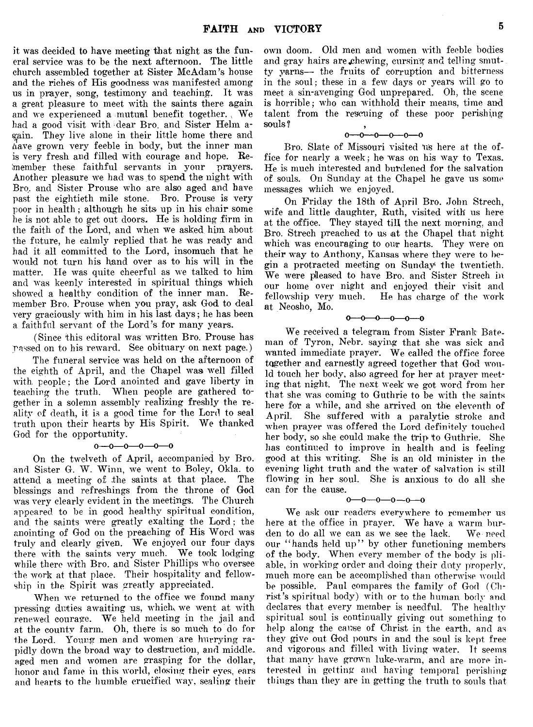it was decided to have meeting that night as the funeral service was to be the next afternoon. The little church assembled together at Sister Me Adam's house and the riches of His goodness was manifested among us in prayer, song, testimony and teaching. It was a great pleasure to meet with the saints there again and we experienced a mutual benefit together. We had a good visit with dear Bro. and Sister Helm again. They live alone in their little home there and Aave grown very feeble in body, but the inner man is very fresh and filled with courage and hope. Refnember these faithful servants in your prayers. Another pleasure we had was to spend the night with Brq. and Sister Prouse who are also aged and have past the eightieth mile stone. Bro. Prouse is very poor in health ; although he sits up in his chair some he is not able to get out doors. He is holding firm in the faith of the Lord, and when we asked him about the future, he calmly replied that he was ready and had it all committed to the Lord, insomuch that he would not turn his hand over as to his will in the matter. He was quite cheerful as we talked to him and was keenly interested in spiritual things which showed a healthy condition of the inner man. Remember Bro. Prouse when you pray, ask God to deal very graciously with him in his last days; he has been a faithful servant of the Lord's for many years.

(Since this editoral was written Bro. Prouse has passed on to his reward. See obituary on next page.)

The funeral service was held on the afternoon of the eighth of April, and the Chapel was well filled with, people; the Lord anointed and gave liberty in teaching the truth. When people are gathered together in a solemn assembly realizing freshly the reality of death, it is a good time for the Lord to seal truth upon their hearts by His Spirit. We thanked God for the opportunity.

#### $0 - 0 - 0 - 0 - 0$

On the twelveth of April, accompanied by Bro. and Sister G. W. Winn, we went to Boley, Okla. to attend a meeting of the saints at that place. The blessings and refreshings from the throne of God was very clearly evident in the meetings. The Church appeared to be in good healthy spiritual condition, and the saints were greatly exalting the Lord ; the anointing of God on the preaching of His Word was truly and clearly given. We enjoyed our four days there with the saints very much. We took lodging while there with Bro. and Sister Phillips who oversee the work at that place. Their hospitality and fellowship in the Spirit was greatly appreciated.

When we returned to the office we found many pressing duties awaiting us, which we went at with renewed courage. We held meeting in the jail and at the county farm. Oh, there is so much to do for the Lord. Young men and women are hurrying rapidly down the broad way to destruction, and middle, aged men and women are grasping for the dollar, honor and fame in this world, closing their eyes, ears and hearts to the humble crucified way, sealing their

own doom. Old men and women with feeble bodies and grav hairs are *chewing*, cursing and telling smutty yarns— the fruits of corruption and bitterness in the soul; these in a few days or years will go to meet a sin-avenging God unprepared. Oh, the scene is horrible; who can withhold their means, time and talent from the rescuing of these poor perishing souls ?

#### $0 - 0 - 0 - 0 - 0 - 0$

Bro. Slate of Missouri visited us here at the office for nearly a week; he was on his way to Texas. He is much interested and burdened for the salvation of souls. On Sunday at the Chapel he gave us some messages which we enjoyed.

On Friday the 18th of April Bro. John Strech, wife and little daughter, Ruth, visited with us here at the office. They stayed till the next morning, and Bro. Strech preached to us at the Chapel that night which was encouraging to our hearts. They were on their way to Anthony, Kansas where they were to begin a protracted meeting on Sunday the twentieth. We were pleased to have Bro. and Sister Strech in our home over night and enjoyed their visit and fellowship very much. He has charge of the work at Neosho, Mo.

#### $0 - 0 - 0 - 0 - 0$

We received a telegram from Sister Frank Bateman of Tyron, Nebr. saying that she was sick and wanted immediate prayer. We called the office force together and earnestly agreed together that God would touch her body, also agreed for her at prayer meeting that night. The next, week we got word from her that she was coming to Guthrie to be with the saints here for a while, and she arrived on the eleventh of April. She suffered with a paralytic stroke and when prayer was offered the Lord definitely touched her body, so she could make the trip to Guthrie. She has continued to improve in health and is feeling good at this writing. She is an old minister in the evening light truth and the water of salvation is still flowing in her soul. She is anxious to do all she can for the cause.

#### $0 - 0 - 0 - 0 - 0$

We ask our readers everywhere to remember us here at the office in prayer. We have a warm burden to do all we can as we see the lack. We need our "hands held up" by other functioning members of the body. When every member of the body is pliable, in working order and doing their duty properly, much more can be accomplished than otherwise would be possible. Paul compares the family of God (Christ's spiritual body) with or to the human body and declares that every member is needful. The healthy spiritual soul is continually giving out something to help along the cause of Christ in the earth, and as they give out God pours in and the soul is kept free and vigorous and filled with living water. It seems that many have grown luke-warm, and are more interested in getting and having temporal perishing things than they are in getting the truth to souls that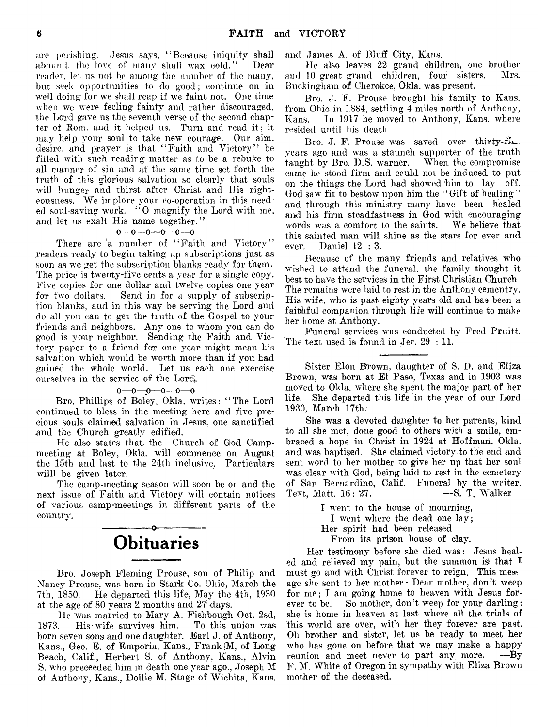are perishing. Jesus says, " Because iniquity shall abound, the love of many shall wax cold." Dear reader, let us not be among the number of the many, but seek opportunities to do good; continue on in well doing for we shall reap if we faint not. One time when we were feeling fainty and rather discouraged, the Lord gave us the seventh verse of the second chapter of Rom. and it helped us. Turn and read it; it may help your soul to take new courage. Our aim, desire, and prayer is that "Faith and Victory" be filled with such reading matter as to be a rebuke to all manner of sin and at the same time set forth the truth of this glorious salvation so clearly that souls will hunger and thirst after Christ and Ilis righteousness. We implore your co-operation in this needed soul-saving work. "O magnify the Lord with me, and let us exalt His name together."

#### $0-0-0-0-0-0$

There are 'a number of "Faith and Victory" readers ready to begin taking up subscriptions just as soon as we get the subscription blanks ready for them. The price is twenty-five cents a year for a single copy. Five copies for one dollar and twelve copies one year for two dollars. Send in for a supply of subscription blanks, and in this way be serving the Lord and do all you can to get the truth of the Gospel to your friends and neighbors. Any one to whom you, can do good is your neighbor. Sending the Faith and Victory paper to a friend for one year might mean his salvation which would be worth more than if you had gained the whole world. Let us each one exercise ourselves in the service of the Lord.

#### o— o— o— 0—o— o

Bro. Phillips of Boley, Okl&. writes: " The Lord continued to bless in the meeting here and five precious souls claimed salvation in Jesus, one sanctified and the Church greatly edified.

He also states that, the Church of God Campmeeting at Boley, Okla. will commence on August the 15th and last to the 24th inclusive. Particulars willl be given later.

The camp-meeting season will soon be on and the next issue of Faith and Victory will contain notices of various camp-meetings in different parts of the country. --------- ------ o-------—------

# **Obituaries**

Bro. Joseph Fleming Prouse, son of Philip and Nancy Prouse, was born in Stark Co. Ohio, March the 7th, i860. He departed this life, May the 4th, 1930 at the age of 80 years 2, months and 27 days.

He was married to Mary A. Fishbough Oct. 2sd, 1873. His wife survives him. To this union was born seven sons and one daughter. Earl J. of Anthony, Kans., Geo. E. of Emporia, Kans., Frank (M, of Long-Beach, Calif., Herbert S. of Anthony, Kans., Alvin S. who preceeded him in death one year ago., Joseph M of Anthony, Kans., Dollie M. Stage of Wichita, Kans.

and James A. of Bluff City, Kans.

He also leaves 22 grand children, one brother and 10 great, grand children, four sisters. Mrs. Buckingham of Cherokee, Okla. was present.

Bro. J. F. Prouse brought his family to Kans. from Ohio in 1884, settling 4 miles north of Anthony, Kans. In 1917 he moved to Anthony, Kans. where resided until his death

Bro. J. F. Prouse was saved over thirty-fin. years ago and was a staunch supporter of the truth taught by Bro. D.S. warner. When the compromise came he stood firm and could not be induced to put on the things the Lord had showed him to lay off. God saw fit to bestow upon him the "Gift of healing" and through this ministry many have been healed and his firm steadfastness in God with encouraging words was a comfort to the saints. We believe that this sainted man will shine as the stars for ever and ever. Daniel 12 : 3.

Because of the many friends and relatives who wished to attend the funeral, the family thought it best to have the services in the First Christian Church The remains were laid to rest in the Anthony cementry. His wife, who is past eighty years old and has been a faithful companion through life will continue to make her home at Anthony.

Funeral services was conducted by Fred Pruitt. The text used is found in Jer. 29 : 11.

Sister Elon Brown, daughter of S. D. and Eliza Brown, was born at El Paso, Texas and in 1903 was moved to Okla. where she spent the major part of her life. She departed this life in the year of our Lord 1930, March 17th.

She was a devoted daughter to her parents, kind to all she met, done good to others with a smile, embraced a hope in Christ in 1924 at Hoffman, Okla. and was baptised. She claimed victory to the end and sent word to her mother to give her up that her soul was clear with God, being laid to rest in the cemetery of San Bernardino, Calif. Funeral by the writer.<br>Text. Matt.  $16:27$ . --S. T. Walker Text, Matt. 16: 27.

> I went to the house of mourning, I went where the dead one lay; Her spirit had been released From its prison house of clay.

Her testimony before she died was: Jesus healed and relieved my pain, but the summon is that  $L$ must go and with Christ forever to reign. This mess age she sent to her mother: Dear mother, don't weep for me; I am going home to heaven with Jesus forever to be. So mother, don't weep for your darling: she is home in heaven at last where all the trials of this world are over, with her they forever are past. Oh brother and sister, let us be ready to meet her who has gone on before that we may make a happy reunion and meet never to part any more. -- By F. M. White of Oregon in sympathy with Eliza Brown mother of the deceased.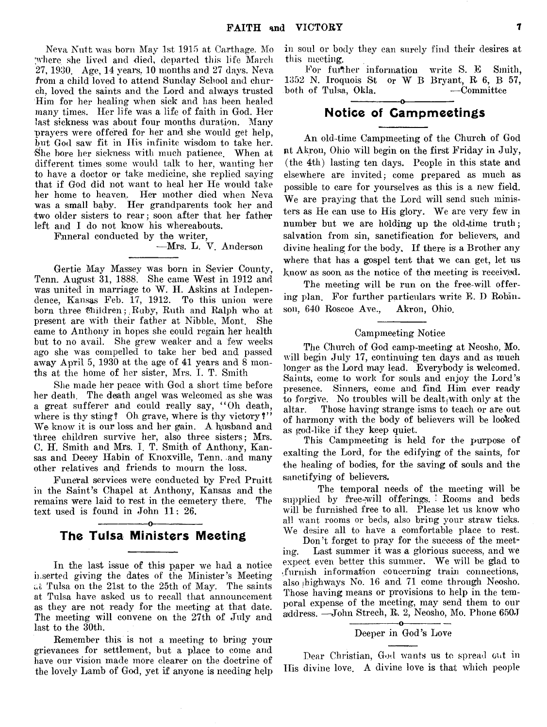Neva Nutt was born May 1st 1915 at Carthage. Mo 'where she lived and died, departed this life March 27, 1930. Age, 14 years. 10 months and 27 days. Neva from a child loved to attend Sunday School and church, loved the saints and the Lord and always trusted Him for her healing when sick and has been healed many times. Her life was a life of faith in God. Her last sickness was about four months duration. Many prayers were offered for her and she would get help, but God saw fit in His infinite wisdom to take her. She bore her sickness with much patience. When at different times some would talk to her, wanting her to have a doctor or take medicine, she replied saying that if God did not want to heal her He would take her home to heaven. Her mother died when Neva was a small baby. Her grandparents took her and two older sisters to rear; soon after that her father left and I do not know his whereabouts.

Funeral conducted by the writer,

#### —Mrs. L. V. Anderson

Gertie May Massey was born in Sevier County, Tenn. August 31, 1888. She came West in 1912 and was united in marriage to W. H. Askins at Independence, Kansas Feb. 17, 1912. To this union were born three Unildren; Ruby, Ruth and Ralph who at present are with their father at Nibble, Mont. She came to Anthony in hopes she could regain her health but to no avail. She grew weaker and a few weeks ago she was compelled to take her bed and passed away April 5, 1930 at the age of 41 years and 8 months at the home of her sister, Mrs. I. T. Smith

She made her peace with God a short time before her death. The death angel was welcomed as she was a great sufferer and could really say, " Oh death, where is thy sting? Oh grave, where is thy victory?" We know it is our loss and her gain. A husband and three children survive her, also three sisters; Mrs. C. H. Smith and Mrs. I. T. Smith of Anthony, Kansas and Decey Habin of Knoxville, Tenn. and many other relatives and friends to mourn the loss.

Funeral services were conducted by Fred Pruitt in the Saint's Chapel at Anthony, Kansas and the remains were laid to rest in the cemetery there. The text used is found in John 11: 26.

# ----- -----------o---------------- **The Tulsa Ministers Meeting**

In the last issue of this paper we had a notice inserted giving the dates of the Minister's Meeting at Tulsa on the 21st to the 25th of May. The saints at Tulsa have asked us to recall that announcement as they are not ready for the meeting at that date. The meeting will convene on the 27th of July and last to the 30th.

Remember this is not a meeting to bring your grievances for settlement, but a place to come and have our vision made more clearer on the doctrine of the lovely Lamb of God, yet if anyone is needing h^lp in soul or body they can surely find their desires at this meeting.

For further information write S. E Smith, 1352 N. Iroquois St or W B Bryant, R 6, B 57, both of Tulsa, Okla. — Committee --------------------------------------©— ---------------------------------

# **Notice of Gampmeetings**

An old-time Campmeeting of the Church of God at Akron, Ohio will begin on the first Friday in July, (the 4th) lasting ten days. People in this state and elsewhere are invited; come prepared as much as possible to care for yourselves as this is a new field. We are praying that the Lord will send such ministers as He can use to His glory. We are very few in number but we are holding up the old-time truth; salvation from sin, sanctification for believers, and divine healing for the body. If there is a Brother any where that has a gospel tent that we can get, let us know as soon as the notice of the meeting is received.

The meeting will be run on the free-will offering plan. For further particulars write E. D Robinson, 640 Roscoe Ave., Akron, Ohio.

#### Campmeeting Notice

The Church of God camp-meeting at Neosho, Mo. will begin July 17, continuing ten days and as much longer as the Lord may lead. Everybody is welcomed. Saints, come to work for souls and enjoy the Lord's presence. Sinners, come and find Him ever ready to forgive. No troubles will be dealt with only at the altar. Those having strange isms to teach or are out of harmony with the body of believers will be looked as god-like if they keep quiet.

This Campmeeting is held for the purpose of exalting the Lord, for the edifying of the saints, for the healing of bodies, for the saving of souls and the sanctifying of believers.

The temporal needs of the meeting will be supplied by free-will offerings. ' Rooms and beds will be furnished free to all. Please let us know who all want rooms or beds, also bring your straw ticks. We desire all to have a comfortable place to rest.

Don't forget to pray for the success of the meeting. Last summer it was a glorious success, and we expect even better this summer. We will be glad to .furnish information concerning train connections, also (highways No. 16 and 71 come through Neosho. Those having means or provisions to help in the temporal expense of the meeting, may send them to our address. —John Strech, R. 2, Neosho, Mo. Phone 650J

#### $-0$ Deeper in God's Love

Dear Christian, God wants us to spread out in His divine love. A divine love is that which people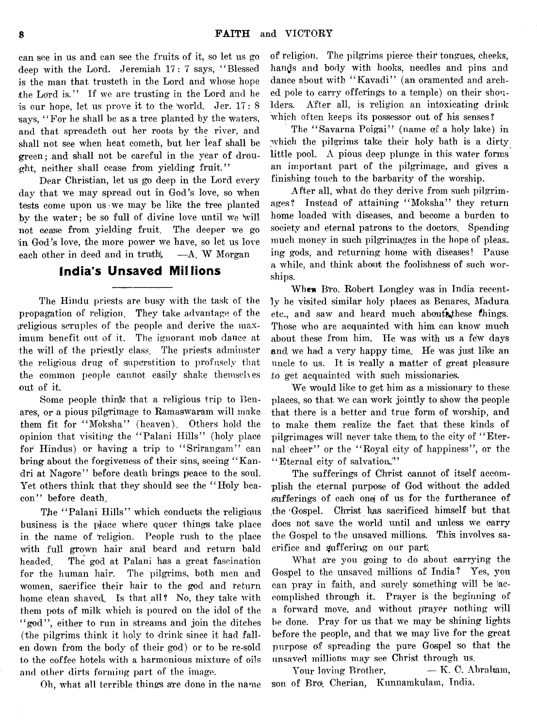can see in us and can see the fruits of it, so let us go deep with the Lord. Jeremiah 17: 7 says, " Blessed is the man that trusteth in the Lord and whose hope the Lord is." If we are trusting in the Lord and he is our hope, let us prove it to the 'world. Jer. 17: 8 says, "For he shall be as a tree planted by the waters, and that spreadeth out her roots by the river, and shall not see when heat cometh, but her leaf shall be green; and shall not be careful in the year of drou $g$ ht, neither shall cease from yielding fruit."

Dear Christian, let us go deep in the Lord every day that we may spread out in God's love, so when tests come upon us we may be like the tree planted by the water; be so full of divine love until we will not cease from yielding fruit. The deeper we go in God's love, the more power we have, so let us love each other in deed and in truth $\leftarrow$   $A$ . W Morgan

# **India's Unsaved Millions**

The Hindu priests are busy with the task of the propagation of religion. They take advantage of the ^religious scruples of the people and derive the maximum benefit out of it. The ignorant mob dance at the will of the priestly class. The priests adminster the religious drug of superstition to profusely that the common people cannot easily shake themselves out of it.

Some people think that a religious trip to Benares, or a pious pilgrimage to Ramaswaram will make them fit for " Moksha" (heaven). Others hold the opinion that visiting the " Palani Hills" (holy place for Hindus) or having a trip to "Srirangam" can bring about the forgiveness of their sins, seeing " Kandri at Nagore" before death brings peace to the soul. Yet others think that they should see the " Holy beacon" before death.

The "Palani Hills" which conducts the religious business is the place where queer things take place in the name of 'religion. People rush to the place with full grown hair and beard and return bald headed. The god at Palani has a great fascination for the human hair. The pilgrims, both men and women, sacrifice their hair to the god and return home clean shaved. Is that all? No, they take with them pots of milk which is poured on the idol of the "god", either to run in streams and join the ditches (the pilgrims think it holy to drink since it had fallen down from the body of their god) or to be re-sold to the coffee hotels with a harmonious mixture of oils and other dirts forming part of the image.

Oh, what all terrible things are done in the name

of religion. The pilgrims pierce-their tongues, cheeks, hands and body with hooks, needles and pins and dance about with "Kavadi" (an oramented and arched pole to carry offerings to a temple) on their shoulders. After all, is religion an intoxicating drink which often keeps its possessor out of his senses?

The "Savarna Poigai" (name of a holy lake) in which the pilgrims take their holy bath is a dirty little pool. A pious deep plunge in this water forms an important part of the pilgrimage, and gives a finishing touch to the barbarity of the worship.

After all, what do they derive from such pilgrimages? Instead of attaining " Moksha" they return home loaded with diseases, and become a burden to society and eternal patrons to the doctors. Spending much money in such pilgrimages in the hope of pleasing gods, and returning home with diseases! Pause a while, and think about the foolishness of such worships.

When Bro. Robert Longley was in India recently he visited similar holy places as Benares, Madura etc., and saw and heard much about these things. Those who are acquainted with him can know much about these from him. He was with us a few days and, we had a very happy time. He was just like an uncle to us. It is really a matter of great pleasure to get acquainted with such missionaries.

We would like to get him as a missionary to these places, so that we can work jointly to show the people that there is a better and true form of worship, and to make them, realize the fact that these kinds of pilgrimages will never take them) to the city of ' ' Eternal cheer" or the "Royal city of happiness", or the "Eternal city of salvation."

The sufferings of Christ cannot of itself accomplish the eternal purpose of God without the added sufferings of each one of us for the furtherance of the'Gospel. Christ has sacrificed himself but that does not save the world until and unless we carry the Gospel to the unsaved millions. This involves sacrifice and buffering on our park

What are you going to do about carrying the Gospel to the unsaved millions of India? Yes, you can pray in faith, and surely something will be 'accomplished through it. Prayer is the beginning of a forward move, and without prayer nothing will be done. Pray for us that we may be shining lights before the people, and that, we may live for the great purpose of spreading the pure Gospel so that the unsaved millions may see Christ through us.

Your loving Brother,  $- K$ . C. Abraham, son of Bro, Cherian, Kunnamkulam, India.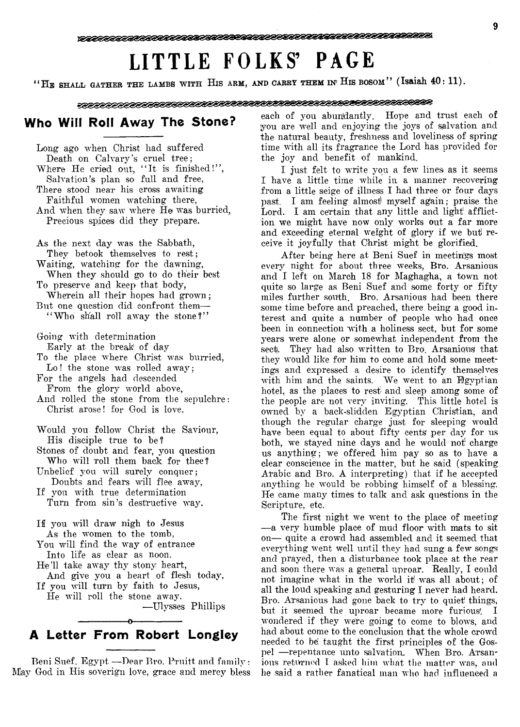# **LITTLE FOLKS' PAGE**

" HE SHALL GATHER THE LAMBS WITH HIS ARM, AND CARRY THEM IN' HIS BOSOM" (Isaiah 40: 11).

# **Who Will Roll Away The Stone?**

Long ago when Christ had suffered Death on Calvary's cruel tree; Where He cried out, "It is finished!", Salvation's plan so full and free, There stood near his cross awaiting Faithful women watching there, And when they saw where He was burried, Precious spices did they prepare.

As the next day was the Sabbath, They betook themselves to rest; Waiting, watching for the dawning, When they should go to do their best To preserve and keep that body, Wherein all their hopes had grown; But one question did confront them— " Who shall roll away the stone?"

Going with determination Early at the break of day

- To the place where Christ was hurried, Lo! the stone was rolled away;
- For the angels had descended From the glory world above,

And rolled the stone from the sepulchre: Christ arose! for God is love.

- Would you follow Christ the Saviour, His disciple true to be?
- Stones of doubt and fear, you question Who will roll them back for thee?
- Unbelief you will surely conquer; Doubts and fears will flee away,
- If you with true determination Turn from sin's destructive way.

If you will draw nigh to Jesus As the women to the tomb, You will find the way of entrance Into life as clear as noon. He'll take away thy stony heart,

- And give you a heart of flesh today, If you will turn by faith to Jesus,
	- He will roll the stone away. — Ulysses Phillips

# -----------------o----------------- **A Letter From Robert Longley**

Beni Suef, Egypt — Dear Bro. Pruitt and family: May God in His soverign love, grace and mercy bless each of you abundantly. Hope and trust each of you are well and enjoying the joys of salvation and the natural beauty, freshness and loveliness of spring time with all its fragrance the Lord has provided for the joy and benefit of mankind.

I just felt to write you a few lines as it seems I have a little time while in a manner recovering from a little seige of illness I had three or four days past. I am feeling almost) myself again; praise the Lord. I am certain that any little and light affliction we might have now only works out a far more and exceeding eternal weight of glory if we but receive it joyfully that Christ might be glorified.

After being here at Beni Suef in meetings most every night for about three weeks, Bro. Arsanious and I left on March 18 for Maghagha, a town not quite so large as Beni Suef and some forty or fifty miles further south. Bro. Arsanious had been there some time before and preached, there being a good interest and quite a number of people who had once been in connection with a holiness sect, but for some years were alone or somewhat independent from the sect. They had also written to Bro. Arsaniows that they would like for him to come and hold some meetings and expressed a desire to identify themselves with him and the saints. We went to an Egyptian hotel, as the places to rest- and sleep among some of the people are not very inviting. This little hotel is owned by a back-slidden Egyptian Christian, and though the regular charge just for sleeping would have been equal to about fifty cents per day for us both, we stayed nine days and he would not' charge us anything; we offered him pay so as to have a clear conscience in the matter, but he said (speaking Arabic and Bro. A interpreting) that if he accepted anything he would be robbing himself of a blessing. He came many times to talk and ask questions in the Scripture, etc.

The first night we went to the place of meeting — a very humble place of mud floor with mats to sit on— quite a crowd had assembled and it seemed that everything went well until they had sung a few songs and prayed, then a disturbance took, place at the rear and soon there was a general uproar. Really, I could not imagine what in the world it was all about; of all the loud speaking and gesturing I never had heard. Bro. Arsanious had gone back to try to quiet' things, but it seemed the uproar became more furious'. I wondered if they were going to come to blows, and had about come to the conclusion that the whole crowd needed to be taught the first principles of the Gospel — repentance unto salvation. When Bro. Arsanious returned I asked him what the matter was, and he said a rather fanatical man who had influenced a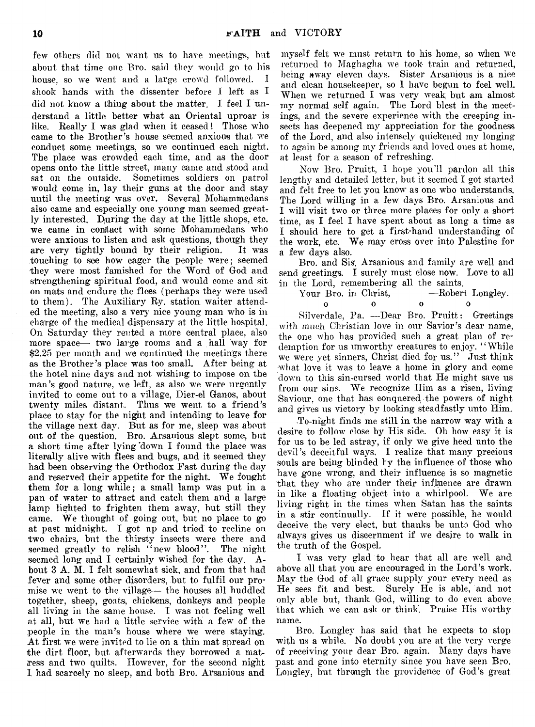few others did not want ns to have meetings, but about that time one Bro. said they would go to his house, so we went and a large crowd followed. I shook hands with the dissenter before 1 left as I did not know a thing about the matter. I feel I understand a little better what an Oriental uproar is like. Really I was glad when it ceased! Those who came to the Brother's house seemed anxious that we conduct some meetings, so we continued each night. The place was crowded each time, and as the door opens onto the little street, many came and stood and sat on the outside. Sometimes soldiers on patrol would come in, lay their guns at the door and stay until the meeting was over. Several Mohammedans also came and especially one young man seemed greatly interested. Djuring the day at the little shops, etc. we came in contact with some Mohammedans who were anxious to listen and ask questions, though they are very tightly bound by their religion. It was touching to see how eager the people were; seemed they were most famished for the Word of God and strengthening spiritual food, and would come and sit on mats and endure the flees (perhaps they were used to them). The Auxiliary Ry. station waiter attended the meeting, also a very nice young man who is in charge of the medical dispensary at the little hospital. On Saturday they rented a more central place, also more space— two large rooms and a hall way for \$2.25 per month and we continued the meetings there as the Brother's place was too small. After being at the hotel nine days and not wishing to impose on the man's good nature, we left, as also we were urgently invited to come out to a village, Dier-el Ganos, about twenty miles distant. Thus we went to a friend's place to stay for the night and intending to leave for the village next day. But as for me, sleep was about out of the question. Bro. Arsanious slept some, but a short time after lying 'down I found the place was literally alive with flees and bugs, and it seemed they had been observing the Orthodox Fast during the day and reserved their appetite for the night. We fought them for a long while; a small lamp was put in a pan of water to attract and catch them and a large lamp lighted to frighten them away, but still they came. We thought of going out, but no place to go at past midnight. I got up and tried to recline on two chairs, but the thirsty insects were there and seemed greatly to relish "new blood". The night seemed long and I certainly wished for the day. About 3 A. M. I felt somewhat sick, and from that had fever and some other disorders, but to fulfil our promise we went to the village— the houses all huddled together, sheep, goats, chickens, donkeys and people all living in the same house. I was not feeling well at all, but we had a little service with a few of the people in the man's house where we were staying. At first we were invited to lie on a thin mat spread on the dirt floor, but afterwards they borrowed a matress and two quilts. However, for the second night I had scarcely no sleep, and both Bro. Arsanious and

myself felt we must return to his home, so when we returned to Maghagha we took train and returned, being away eleven days. Sister Arsanious is a nice and clean housekeeper, so 1 have begun to feel well. When we returned I was very weak but am almost my normal self again. The Lord blest in the meetings, and the severe experience with the creeping insects has deepened my appreciation for the goodness of the Lord, and also intensely quickened my longing to again be among my friends and loved ones at home, at least for a season of refreshing.

Now Bro. Pruitt, I hope you'll pardon all this lengthy and detailed letter, but it seemed I got started and felt free to let you know as one who understands. The Lord willing in a few days Bro. Arsanious and I will visit two or three more places for only a short time, as I feel I have spent about as long a time as I should here to get a first-hand understanding of the work, etc. We may cross over into Palestine for a few days also.

Bro. and Sis. Arsanious and family are well and send greetings. I surely must close now. Love to all in the Lord, remembering all the saints.<br>Your Bro. in Christ. ——Robert Longley.

Your Bro. in Christ, **0 0 0 0**

Silverdale, Pa. —Dear Bro. Pruitt: Greetings with much Christian love in our Savior's dear name, the one who has provided such a great plan of redemption for us unworthy creatures to enjoy. " While we were yet sinners, Christ died for us." Just think what love it was to leave a home in glory and come down to this sin-cursed world that He might save us from our sins. We recognize Him as a risen, living Saviour, one that has conquered the powers of night and gives us victory by looking steadfastly unto Him.

To-night finds me still in the narrow way with a desire to follow close by His side. Oh how easy it is for us to be led astray, if only we give heed unto the devil's deceitful ways. I realize that many precious souls are being blinded by the influence of those who have gone wrong, and their influence is so magnetic that they who are under their influence are drawn in like a floating object into a whirlpool. We are living right in the times when Satan has the saints in a stir continually. If it were possible, he would deceive the very elect, but thanks be unto God who always gives us discernment if we desire to walk in the truth of the Gospel.

I was very glad to hear that all are well and above all that you are encouraged in the Lord's work. May the God of all grace supply your every need as He sees fit and best. Surely He is able, and not only able but, thank God, willing to do even above that which we can ask or think. Praise His worthy name.

Bro. Longley has said that he expects to stop with us a while. No doubt you are at the very verge of receiving your dear Bro. again. Many days have past and gone into eternity since you have seen Bro. Longley, but through the providence of God's great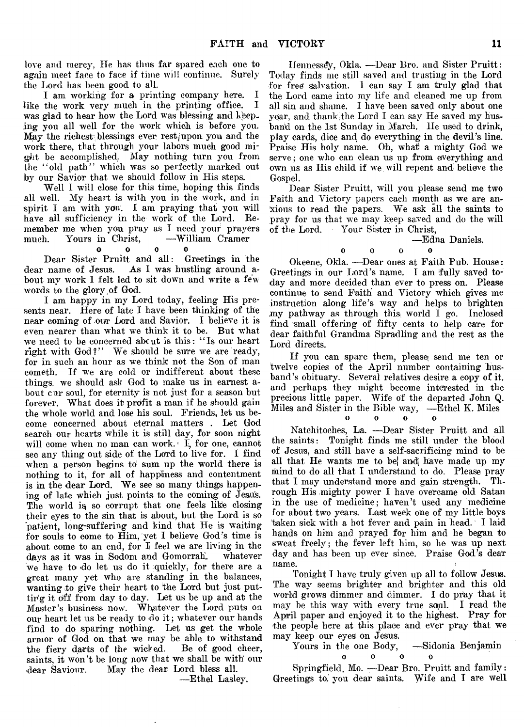love and mercy. He has thus far spared each one to again meet face to face if time will continue. Surely the Lord has been good to all.

I am working for a printing company here. I like the work very much in the printing office. was glad to hear how the Lord was blessing and keeping you all well for the work which is before you. May the richest blessings ever  $rest$  (upon you and the work there, that through your labors much good might be accomplished,. May nothing turn you from the " old path" which was so perfectly marked out by our Savior that we should follow in His steps.

Well I will close for this time, hoping this finds all well. My heart is with you in the work, and in spirit I am with you. I am praying that you will have all sufficiency in the work of the Lord. Remember me when you pray as I need your prayers much. Yours in Christ,

#### 0 0 0 0

Dear Sister Pruitt and all: Greetings in the dear name of Jesus. As I was hustling around a-As I was hustling around about my work I felt led to sit down and write a few words to the glory of God.

I am happy in my Lord today, feeling His presents near. Here of late I have been thinking of the near coming of our Lord and Savior. I believe it is even nearer than what we think it to be. But what we need to be concerned abc ut is this: " Is our heart right with God?" We should be sure we are ready, for in such an hour as we think not the Son of man cometh. If we are cold or indifferent about these things, we should ask God to make us in earnest about cur soul, for eternity is not just for a season but forever. What does it profit a man if he should gain the whole world and lose his soul. Friends, let us become concerned about eternal matters . Let God search our hearts while it is still day, for soon night will come when no man can work. $\mathbf{I}$ , for one, cannot see any thing out side of the Lord to live for. I find when a person begins to sum up the world there is nothing to it, for all of happiness and contentment is in the dear Lord. We see so many things happening of late which just points to the coming of Jesus. The world is so corrupt that one feels like closing their eyes to the sin that is about, but the Lord is so patient, long-suffering and kind that He is waiting for souls to come to Him, yet I believe God's time is about come to an end, for I feel we are living in the days as it was in Sodom and Gomorrah. whatever we have to do let us do it quickly, for there are a great many yet who are standing in the balances, wanting to give their heart to the Lord but just putting it off from day to day. Let us be up and at the Master's business now. Whatever the Lord puts on our heart let us be ready to do it; whatever our hands find to do sparing nothing. Let us get the whole armor of God on that we may be able to withstand<br>the fiery darts of the wicked. Be of good cheer, the fiery darts of the wicked. saints, it won't be long now that we shall be with our dear Saviour. May the dear Lord bless all.

— Ethel Lasley.

Hennessey, Okla. — Dear Bro. and Sister Pruitt: Today finds me still saved and trusting in the Lord for free salvation. I can say I am truly glad that the Lord came into my life and cleaned me up from all sin and shame. I have been saved only about one year, and thank the Lord I can say He saved my husband on the 1st Sunday in March. He used to drink, play cards, dice and do everything in the devil's line. Praise His holy name. Oh, what a mighty God we serve; one who can clean us up from everything and own us as His child if we will repent and believe the Gospel.

Dear Sister Pruitt, will you please send me two Faith and Victory papers each month as we are anxious to read the papers. We ask all the saints to pray for us that we may keep saved and do the will of the Lord. Your Sister in Christ,

— Edna Daniels,

#### oooo

Okeene, Okla. —Dear ones at Faith Pub. House: Greetings in our Lord's name. I am fully saved today and more decided than ever to press on. Please continue to send Faith! and Victory which gives me instruction along life's way and helps to brighten ,my pathway as through this- world I go. Inclosed find small offering of fifty cents to help care for dear faithful Grandma Spradling and the rest as the Lord directs.

If you can spare them, please send me ten or twelve copies of the April number containing husband's obituary. Several relatives desire a copy of it, and perhaps they might become interested in the precious little paper. Wife of the departed John Q. Miles and Sister in the Bible way, — Ethel K. Miles

0 0 0 0

Natchitoches, La. — Dear Sister Pruitt and all the saints: Tonight finds me still under the blood of Jesus, and still have a self-sacrificing mind to be all that He wants me to be) andj have made up my mind to do all that I understand to do. Please pray that I may understand more and gain strength. Through His mighty power I have overcame old Satan in the use of medicine; haven't used any medicine for about two years. Last week one of my little boys 'taken sick with a hot fever and pain in head. I laid hands on him and prayed for him and he began to sweat freely; the fever left him, so he was up next day and has been up ever since. Praise God's dear name.

Tonight I have truly given up all to follow Jesus. The way seems brighter and brighter and this old world grows dimmer and dimmer. I do pray that it may be this way with every true soul. I read the April paper and enjoyed it to the highest. Pray for the people here at this place and ever pray that we may keep our eyes on Jesus.

Yours in the one Body, -Sidonia Benjamin

 $\Omega$ 

oooo

Springfield, Mo. — Dear Bro. Pruitt and family: Greetings to/ you dear saints. Wife and I are well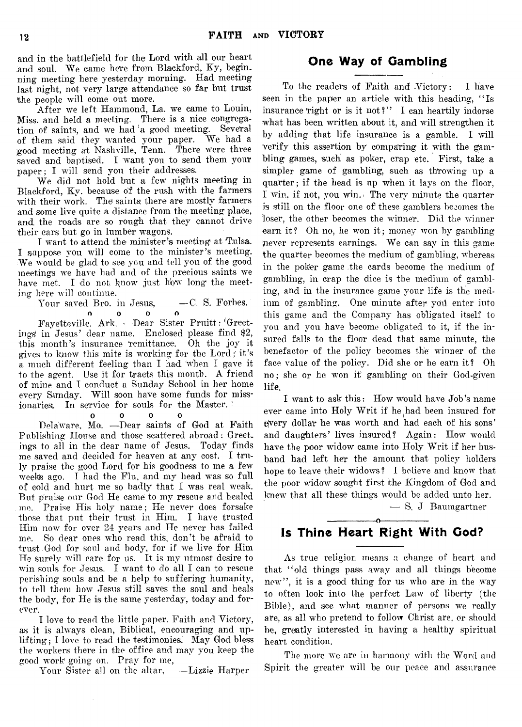and in the battlefield for the Lord with all our heart and soul. We came here from Blackford, Ky, beginning meeting here yesterday morning. Had meeting last night, not very large attendance so far but trust the people will come out more.

After we left Hammond, La. we came to Louin, Miss, and held a meeting. There is a nice congregation of saints, and we had a good meeting. Several of them said they wanted your paper. We had a good meeting at Nashville, Tenn. There were three saved and baptised. I want you to send them your paper; I will send you their addresses.

We did not hold but a few nights meeting in Blackford, Ky. because of the rush with the farmers with their work. The saints there are mostly farmers and some live quite a distance from the meeting place, and the roads are so rough that they cannot drive their cars but go in lumber wagons.

I want to attend the minister's meeting at Tulsa. I suppose you will come to the minister's meeting. We would be glad to see you and tell you of the good meetings we have had and of the precious saints we have met. I do not know just how long the meeting here will continue.

Your saved Bro. in Jesus, -C. S. Forbes. **0 0 0 0**

Fayetteville, Ark. -—Dear Sister Pruitt: 'Greetings' in Jesus' dear name. Enclosed please find \$2, this month's insurance 'remittance. Oh the joy it gives to know this mite is working for the Lord; it's a much different feeling than I had when I gave it to the agent. Use it for tracts this month. A friend of mine and I conduct a Sunday School in her home every Sunday. Will soon have some funds for missionaries. In service for souls for the Master.

0 0 0 0 Delaware, Mo. —Dear saints of God at Faith Publishing House and those scattered abroad: Greet, ings to all in the dear name of Jesus. Today finds me saved and decided for heaven at any cost. I truly praise the good Lord for his goodness to me a few weeks ago. I had the Flu, and my head was so full of cold and hurt me so badly that I was real weak. But praise our God He came to my rescue and healed me. Praise His holy name; He never does forsake those that put their trust in Him. I have trusted Him now for over 24 years and He never has failed me. So dear ones who read this, don't be afraid to trust God for soul and body, for if we live for Him He surely will care for us. It is my utmost desire to win souls for Jesus. I want to do all I can to rescue perishing souls and be a help to suffering humanity, to tell them how Jesus still saves the soul and heals the body, for He is the same yesterday, today and forever.

I love to read the little paper. Faith and Victory, as it is always clean, Biblical, encouraging and uplifting ; I love to read the testimonies. May God bless the workers there in the office and may you keep the good work going on. Pray for me,

 $\ddot{\phantom{a}}$ 

Your Sister all on the altar, —Lizzie Harper

# **One Way of Gambling**

To the readers of Faith and Victory: I have seen in the paper an article with this heading, "Is insurance right or is it not?" I can heartily indorse what has been written about it, and will strengthen it by adding that life insurance is a gamble. I will verify this assertion by comparing it with the gambling games, such as poker, crap etc. First, take a simpler game of gambling, such as throwing up a quarter; if the head is up when it lays on the floor, 1 win, if not, you win. \* The very minute the quarter is still on the floor one of these gamblers becomes the loser, the other becomes the winner. Did the winner earn it? Oh no, he won it; money won by gambling never represents earnings. We can say in this game the quarter becomes the medium of gambling, whereas in the poker game the cards become the medium of gambling, in crap the dice is the medium of gambling, and in the insurance game your life is the medium of gambling. One minute after you enter into this game and the Company has obligated itself to you and you have become obligated to it, if the insured falls to the floor dead that same minute, the benefactor of the policy becomes the winner of the face value of the policy. Did she or he earn it? Oh no; she or he won it gambling on their God-given life.

I want to ask this: How would have Job's name ever came into Holy Writ if he had been insured for ejvery dolla'r he was worth and had each of his sons' and daughters' lives insured? Again: How would have the poor widow came into Holy Writ if her husband had left her the amount that policy holders hope to leave their widows ? I believe and know that the poor widow sought first the Kingdom of God and knew that all these things would be added unto her.

— S. J Baumgartner

# ---------------- o---------------- **Is Thine Heart Right With God?**

As true religion means a change of heart and that " old things pass away and all things become new", it is a good thing for us who are in the way to often look into the perfect Law of liberty (the Bible), and see what manner of persons we really are, as all who pretend to follow Christ are, or should be, greatly interested in having a healthy spiritual heart condition.

The more we are in harmony with the Word and Spirit the greater will be our peace and assurance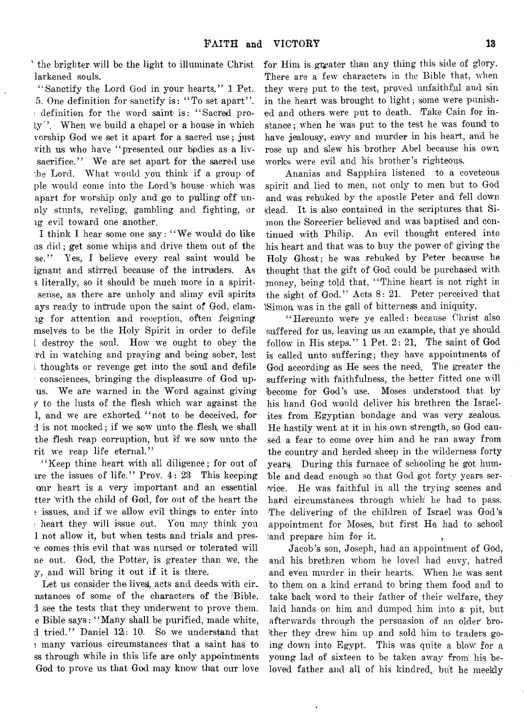the brighter will be the light to illuminate Christ larkened souls.

"Sanctify the Lord God in your hearts." 1 Pet. 5. One definition for sanctify is: " To set apart" . ; definition for the word saint is: " Sacred proty". When we build a chapel or a house in which vorship God we set it apart for a sacred use; just vith us who have " presented our bpdies as a livsacrifice." We are set apart for the sacred use he Lord. What would you think if a group of pie would come into the Lord's house which was apart for worship only and go to pulling off unnly stunts, reveling, gambling and fighting, or lg evil toward one another.

I think I hear some one say: " We would do like us did; get some whips and drive them out of the se." Yes, I believe every real saint would be ignant and stirred because of the intruders. As 3 literally, so it should be much more in a spiritsense, as there are unholy and slimy evil spirits ays ready to intrude upon the saint of God, clamig for attention and reception, often feigning mselves to be the Holy Spirit in order to defile L destroy the soul. How we ought to obey the rd in watching and praying and being sober, lest i thoughts or revenge get into the soul and defile consciences, bringing the displeasure of God upus. We are warned in the Word against giving *<sup>Y</sup>* to the lusts of the flesh which war against the 1, and we are exhorted "not to be deceived, for d is not mocked; if we sow unto the flesh we shall the flesh reap corruption, but if we sow unto the rit we reap life eternal."

"'Keep thine heart with all diligence; for out of ire the issues of life." Prov. 4: 23 This keeping oair heart is .a very important and an essential tter with the child of God, for out of the heart the ? issues, and if we allow evil things to enter into i heart they will issue out. You may think you 1 not allow it, but when tests and trials and pres the comes this evil that was nursed or tolerated will ne out. God, the Potter, is greater than we, the y, and will bring it out if it is there.

Let us consider the lives, acts and deeds with cir. nstances of some of the characters of the 'Bible, :1 see the tests that they underwent to prove them, e Bible says: " Many shall be purified, made white, d tried." Daniel 12: 10. So we understand that » many various circumstances that a saint has to ss through while in this life are only appointments God to prove us that God may know that our love

for Him is greater than any thing this side of glory. There are a few characters in the Bible that, when they were put to the test, proved unfaithful and sin in the heart was brought to light; some were punished and others were put to death. Take Cain for instance ; when he was put to the test he was found to have jealousy, envy and murder in his heart, and he rose up and slew his brother Abel because his own, works were evil and his brother's righteous.

Ananias and Sapphira listened to a coveteous spirit and lied to men, not only to men but to God and was rebuked by the apostle Peter and fell down (dead. It is also contained in the scriptures that Simon the Sorcerier believed and was baptised and continued with Philip. An evil thought entered into his heart and that was to buy the power of' giving the Holy Ghost; he was .rebuked by Peter because he thought that the gift of God could be purchased with money, being told that, "Thine heart is not right in the sight of God." Acts 8: 21. Peter perceived that -Simon was in the gall of bitterness and iniquity.

" Hereunto were ye called: because Christ also suffered for us, leaving us an example, that ye should follow in His steps."  $1$  Pet.  $2: 21$ , The saint of God is called unto suffering; they have appointments of God according as He sees the need. The greater the suffering with faithfulness, the better fitted one will become for God's use. Moses understood that by his hand God would deliver his brethren the Israelites from Egyptian bondage and was very zealous. He hastily went at it in his own strength, so God caused a fear to come over him and he ran away from the country and herded sheep in the wilderness forty years. During this furnace of schooling he got humble and dead enough so that God got forty years service. He was faithful in all the trying scenes and hard circumstances through which he had to pass. The delivering of the children of Israel was God's appointment for Moses, but first He had to school land prepare him for it.

Jacob's son, Joseph, had an appointment of God, and his brethren whom he loved had envy, hatred and even murder in their hearts. When he was sent !to them on a kind errand to bring them food and to take back word to their father of their welfare, they laid hands on him and dumped him into a: pit, but afterwards through the persuasion of an older' brother they drew him up and sold him to- traders going down into Egypt. This was quite a blow for a young lad of sixteen to be taken away from his beloved father and all of his kindred, but he meekly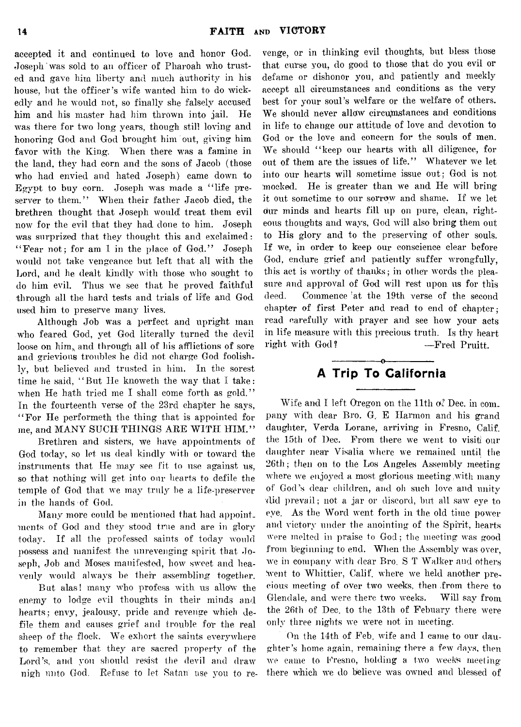accepted it and continued to love and honor God. Joseph' was sold to an officer of Pharoah who trusted and gave him liberty and much authority in his house, but the officer's wife wanted him to do wickedly and he would not, so finally she falsely accused him and his master had him thrown into jail. He was there for two long years, though still loving and honoring God and God brought him out, giving him favor with the King. When there was a famine in the land, they had corn and the sons of Jacob (those who had envied and hated Joseph) came down to Egypt to buy corn. Joseph was made a " life preserver to them." When their father Jacob died, the brethren thought that Joseph would: treat them evil now for the evil that they had done to him. Joseph was surprized that they thought this and exclaimed: "Fear not; for am I in the place of God." Joseph would not take vengeance but left that all with the Lord, and he dealt kindly with those who sought to do him evil. Thus we see that he proved faithful through all the hard tests and trials of life and God used him to preserve many lives.

Although Job was a perfect and upright man who feared God, yet God literally turned the devil loose on him, and through all of his afflictions of sore and grievious troubles he did not charge God foolishly, but believed and trusted in him. In the sorest time he said, " But He knoweth the way that I take: when He hath tried me I shall come forth as gold." In the fourteenth verse of the 23rd chapter he says, " For He performeth the thing that is appointed for me, and MANY SUCH THINGS ARE WITH HIM."

Brethren and sisters, we have appointments of God today, so let us deal kindly with or toward the instruments that He may see fit to use against us, so that nothing will get into our hearts to defile the temple of God that we may truly be a life-preserver in the hands of God.

Many more could be mentioned that had appointments of God and they stood true and are in glory today. If all the professed saints of today would possess and manifest the unrevenging spirit that Joseph, Job and Moses manifested, how sweet and heavenly would always be their assembling together.

But alas! many who profess with us allow the enemy to lodge evil thoughts in their minds and hearts; envy, jealousy, pride and revenge which defile them and causes grief and trouble for the real sheep of the flock. We exhort the saints everywhere to remember that they are sacred property of the Lord's, and you should resist the devil and draw nigh unto God. Refuse to let Satan use you to re-

venge, or in thinking evil thoughts, but bless those that curse you, do good to those that do you evil or defame or dishonor you, and patiently and meekly accept all circumstances and conditions as the very best for your soul's welfare or the welfare of others. We should never allow circumstances and conditions in life to change our attitude of love and devotion to God or the love and concern for the souls of men. We should "keep our hearts with all diligence, for out of them are the issues of life." Whatever we let into our hearts will sometime issue out; God is not mocked. He is greater than we and He will bring it out sometime to our sorrow and shame. If we let oiur minds and hearts fill up on pure, clean, righteous thoughts and ways, God will also bring them out to His glory and to the preserving of other souls. If we, in order to keep our conscience clear before God, endure grief and patiently suffer wrongfully, this act is worthy of thanks; in other words the pleasure and approval of God will rest upon us for this deed. Commence 'at the 19th verse of the second chapter of first Peter and read to end of chapter; read carefully with prayer and see how your acts in life measure with this precious truth. Is thy heart right with God? —Fred Pruitt.

# ---------------- o---------------- **A Trip To California**

Wife and I left Oregon on the 11th of Dec. in com. pany with dear Bro. G, E Harmon and his grand daughter, Verda Lorane, arriving in Fresno, Calif, the 15th of Dec. From there we went to visiti our daughter near Visalia where we remained until the 26th; then on to the Los Angeles Assembly meeting where we enjoyed a most glorious meeting with many of God's dear children, and oh such love and unity did prevail; not a jar or discord, but all saw eye to eye. As the Word went forth in the old time power and victory under the anointing of the Spirit, hearts were melted in praise to God; the meeting was good from beginning to end. When the Assembly was over, we in company with dear Bro. S T Walker and others Went to Whittier, Calif, where we held another precious meeting of over two weeks, then from there to Glendale, and were there two weeks. Will say from the 26th of Dec. to the 13th of Febuary there were only three nights we were not in meeting.

On the 14th of Feb, wife and 1 came to our daughter's home again, remaining there a few days, then we came to Fresno, holding a two week's meeting there which we do believe was owned and blessed of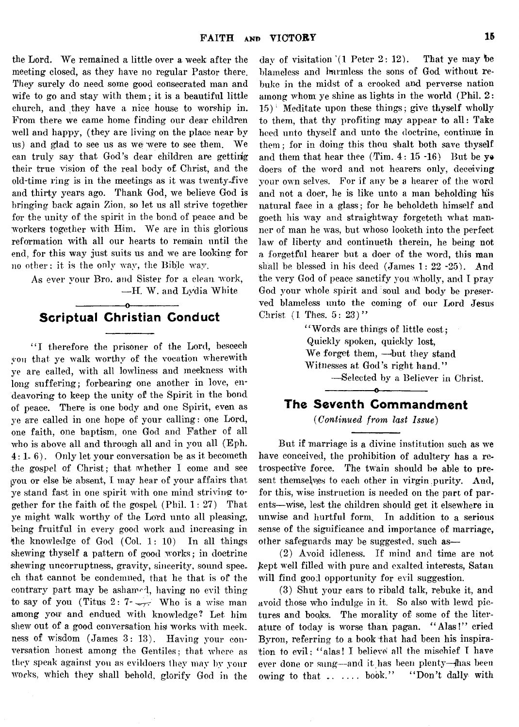the Lord. We remained a little over a week after the meeting closed, as they have no regular Pastor there. They surely do need some good consecrated man and wife to go and stay with them; it is a beautiful little church, and they have a nice house to worship in. From there we came home finding our dear children well and happy, (they are living on the place near by us) and glad to see us as we were to see them. We can truly say that God's dear children are getting their true vision of the real body of Christ, and the old-time ring is in the meetings as it was twenty-five and thirty years ago. Thank God, we believe God is bringing back again Zion, so let us all strive together for the unity of the spirit in the bond of peace and be workers together with Him.. We are in this glorious reformation with all our hearts to remain until the end, for this way just suits us and we are looking for no other: it is the only way, the Bible way.

As ever your Bro. and Sister for a clean work, — H. W. and Lydia White

## -----------------o---------------- **Scriptual Christian Conduct**

"I therefore the prisoner of the Lord, beseech you that ye walk worthy of the vocation wherewith ye are called, with all lowliness and meekness with long suffering; forbearing one another in love, endeavoring to keep the unity of the Spirit in the bond of peace. There is one body and one Spirit, even as ye are called in one hope of your calling: one Lord, one faith, one baptism, one God and Father of all who is above all and through all and in you all (Eph. 4:1-6). Only let your conversation be as it becometh the gospel of Christ; that whether I come and see iyou or else he absent, I may hear of your affairs that ye stand fast in one spirit with one mind striving together for the faith of the gospel (Phil.  $1: 27$ ) That ye might walk worthy of the Lord unto all pleasing, being fruitful in every good work and increasing in the knowledge of God (Col. 1: 10) In all things shewing thyself a pattern of good works; in doctrine shewing uncorruptness, gravity, sincerity, sound speech that cannot be condemned, that he that is of the contrary part may be ashamed, having no evil thing to say of you (Titus 2:  $7 - \sqrt{r}$  Who is a wise man among you and endued with knowledge? Let him shew out of a good conversation his works with meekness of wisdom (James 3: 13). Having your conversation honest among the Gentiles; that where as they speak against you as evildoers they may by your works, which they shall behold, glorify God in the

day of visitation *\\* Peter 2: 12). That ye may be blameless and harmless the sons of God without rebuke in the midst of a crooked and perverse nation among whom ye shine as lights in the world (Phil. 2:  $15$ <sup>1</sup> Meditate upon these things; give thyself wholly to them, that thy profiting may appear to all: Take heed unto thyself and unto the doctrine, continue in them; for in doing this thou shalt both save thyself and them that hear thee  $(Tim. 4: 15-16)$  But be yedoers of the word and not hearers only, deceiving your own selves. For if any be a hearer of the word and not a doer, he is like unto a man beholding his natural face in a glass; for he beholdeth himself and goeth his way and straightway forgeteth what manner of man he was, but whoso looketh into the perfect law of liberty and continueth therein, he being not a forgetful hearer but a doer of the word, this man shall be blessed in his deed (James 1: 22 -25). And the very God of peace sanctify you wholly, and I pray God your whole spirit and soul and body be preserved blameless unto the coming of our Lord Jesus Christ  $(1$  Thes.  $5: 23)$ "

> "Words are things of little cost; Quickly spoken, quickly lost, We forget them, —but they stand Witnesses at God's right hand." — Selected by a Believer in Christ.

# -----------------o---------------- **The Seventh Commandment**

*(Continued from last Issue)*

But if marriage is a divine institution such as we have conceived, the prohibition of adultery has a retrospective force. The twain should be able to present themselves to each other in virgin purity. And, for this, wise instruction is needed on the part of parents—wise, lest the children should get it elsewhere in unwise and hurtful form. In addition to a serious sense of the significance and importance of marriage, other safeguards may be suggested, such as—

(2) Avoid idleness. If mind and time are not kept well filled with pure and exalted interests, Satan will find good opportunity for evil suggestion.

(3) Shut your ears to ribald talk, rebuke it, and avoid those who indulge in it. So also with lewd pictures and books. The morality of some of the literature of today is worse than pagan. " Alas!" cried Byron, referring to a book that had been his inspiration to evil: " alas! I believe' all the mischief I have ever done or sung— and it has been plenty—jhas been owing to that  $\dots$  book." "Don't dally with